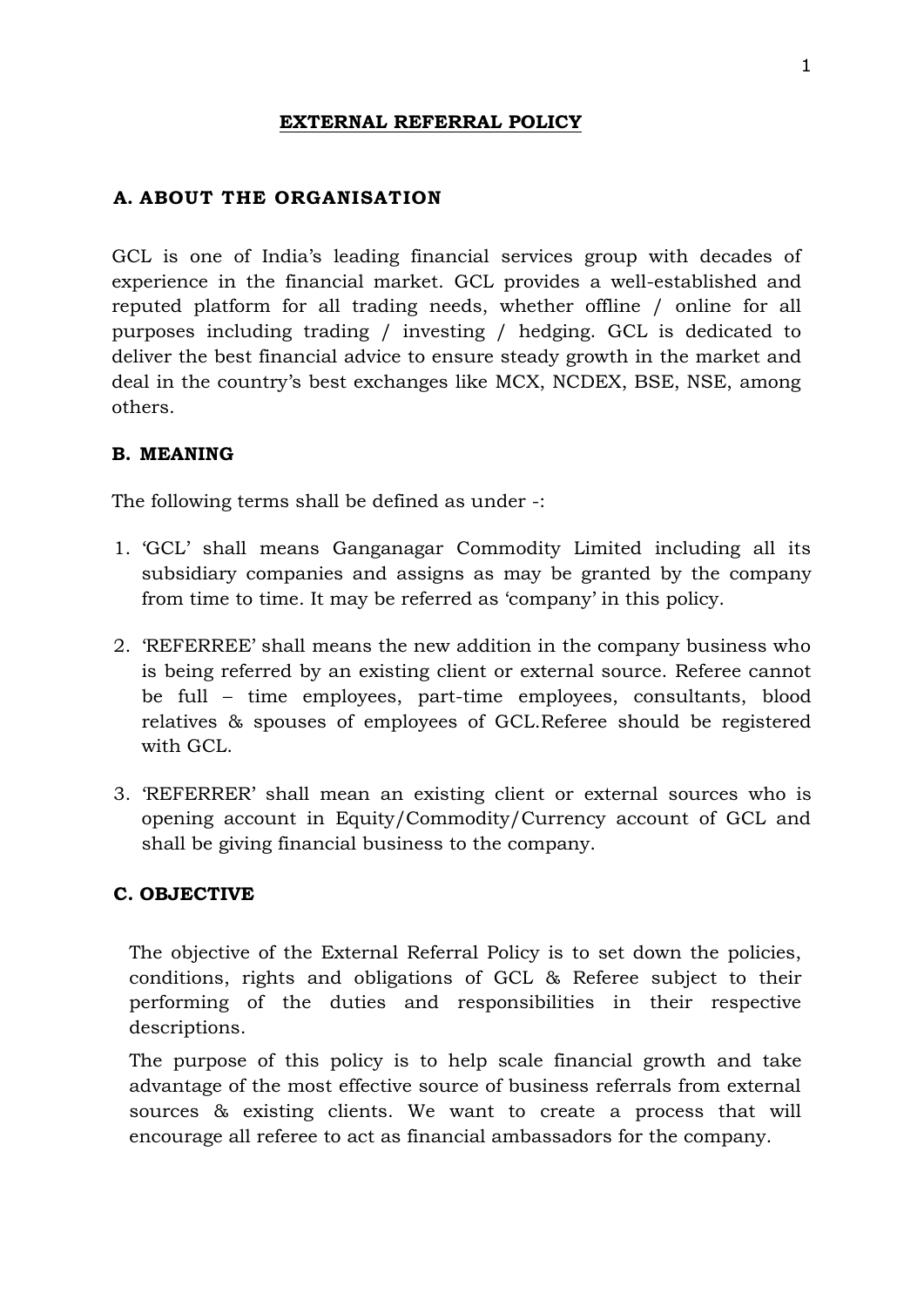## **EXTERNAL REFERRAL POLICY**

### **A. ABOUT THE ORGANISATION**

GCL is one of India's leading financial services group with decades of experience in the financial market. GCL provides a well-established and reputed platform for all trading needs, whether offline / online for all purposes including trading / investing / hedging. GCL is dedicated to deliver the best financial advice to ensure steady growth in the market and deal in the country's best exchanges like MCX, NCDEX, BSE, NSE, among others.

### **B. MEANING**

The following terms shall be defined as under -:

- 1. 'GCL' shall means Ganganagar Commodity Limited including all its subsidiary companies and assigns as may be granted by the company from time to time. It may be referred as 'company' in this policy.
- 2. 'REFERREE' shall means the new addition in the company business who is being referred by an existing client or external source. Referee cannot be full – time employees, part-time employees, consultants, blood relatives & spouses of employees of GCL.Referee should be registered with GCL.
- 3. 'REFERRER' shall mean an existing client or external sources who is opening account in Equity/Commodity/Currency account of GCL and shall be giving financial business to the company.

### **C. OBJECTIVE**

The objective of the External Referral Policy is to set down the policies, conditions, rights and obligations of GCL & Referee subject to their performing of the duties and responsibilities in their respective descriptions.

The purpose of this policy is to help scale financial growth and take advantage of the most effective source of business referrals from external sources & existing clients. We want to create a process that will encourage all referee to act as financial ambassadors for the company.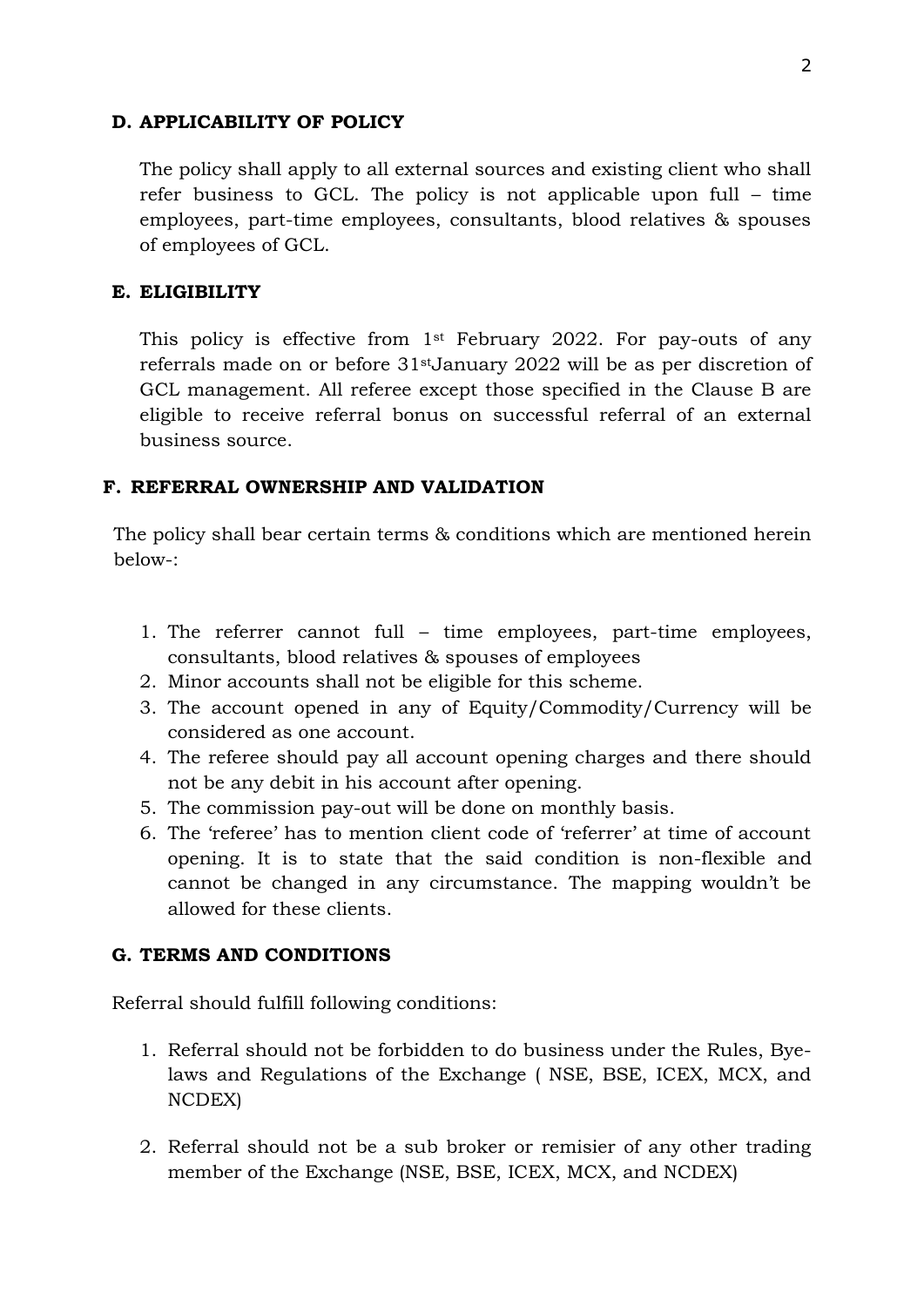### **D. APPLICABILITY OF POLICY**

The policy shall apply to all external sources and existing client who shall refer business to GCL. The policy is not applicable upon full – time employees, part-time employees, consultants, blood relatives & spouses of employees of GCL.

#### **E. ELIGIBILITY**

This policy is effective from 1st February 2022. For pay-outs of any referrals made on or before 31stJanuary 2022 will be as per discretion of GCL management. All referee except those specified in the Clause B are eligible to receive referral bonus on successful referral of an external business source.

### **F. REFERRAL OWNERSHIP AND VALIDATION**

The policy shall bear certain terms & conditions which are mentioned herein below-:

- 1. The referrer cannot full time employees, part-time employees, consultants, blood relatives & spouses of employees
- 2. Minor accounts shall not be eligible for this scheme.
- 3. The account opened in any of Equity/Commodity/Currency will be considered as one account.
- 4. The referee should pay all account opening charges and there should not be any debit in his account after opening.
- 5. The commission pay-out will be done on monthly basis.
- 6. The 'referee' has to mention client code of 'referrer' at time of account opening. It is to state that the said condition is non-flexible and cannot be changed in any circumstance. The mapping wouldn't be allowed for these clients.

#### **G. TERMS AND CONDITIONS**

Referral should fulfill following conditions:

- 1. Referral should not be forbidden to do business under the Rules, Byelaws and Regulations of the Exchange ( NSE, BSE, ICEX, MCX, and NCDEX)
- 2. Referral should not be a sub broker or remisier of any other trading member of the Exchange (NSE, BSE, ICEX, MCX, and NCDEX)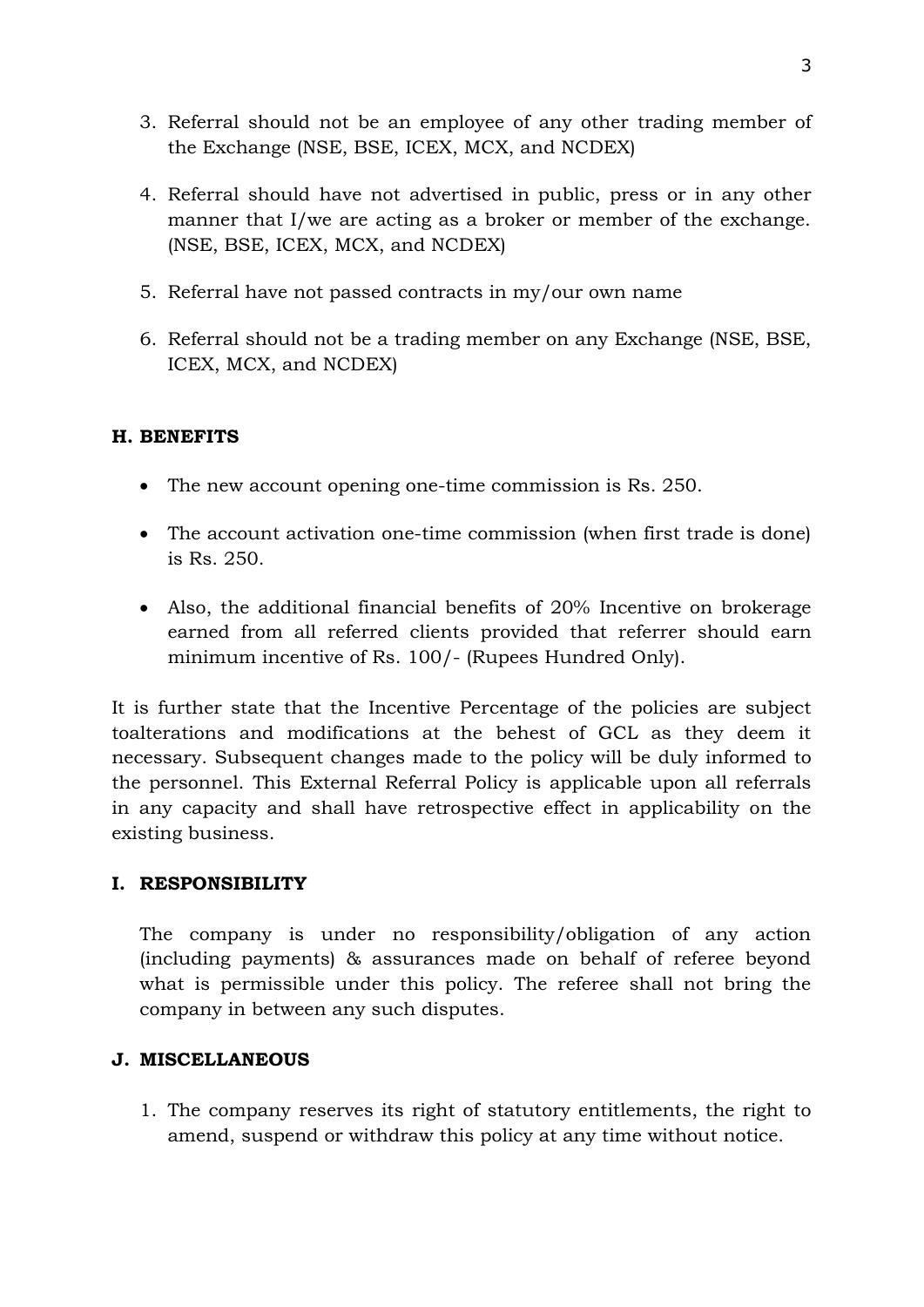- 3. Referral should not be an employee of any other trading member of the Exchange (NSE, BSE, ICEX, MCX, and NCDEX)
- 4. Referral should have not advertised in public, press or in any other manner that I/we are acting as a broker or member of the exchange. (NSE, BSE, ICEX, MCX, and NCDEX)
- 5. Referral have not passed contracts in my/our own name
- 6. Referral should not be a trading member on any Exchange (NSE, BSE, ICEX, MCX, and NCDEX)

# **H. BENEFITS**

- The new account opening one-time commission is Rs. 250.
- The account activation one-time commission (when first trade is done) is Rs. 250.
- Also, the additional financial benefits of 20% Incentive on brokerage earned from all referred clients provided that referrer should earn minimum incentive of Rs. 100/- (Rupees Hundred Only).

It is further state that the Incentive Percentage of the policies are subject toalterations and modifications at the behest of GCL as they deem it necessary. Subsequent changes made to the policy will be duly informed to the personnel. This External Referral Policy is applicable upon all referrals in any capacity and shall have retrospective effect in applicability on the existing business.

## **I. RESPONSIBILITY**

The company is under no responsibility/obligation of any action (including payments) & assurances made on behalf of referee beyond what is permissible under this policy. The referee shall not bring the company in between any such disputes.

### **J. MISCELLANEOUS**

1. The company reserves its right of statutory entitlements, the right to amend, suspend or withdraw this policy at any time without notice.